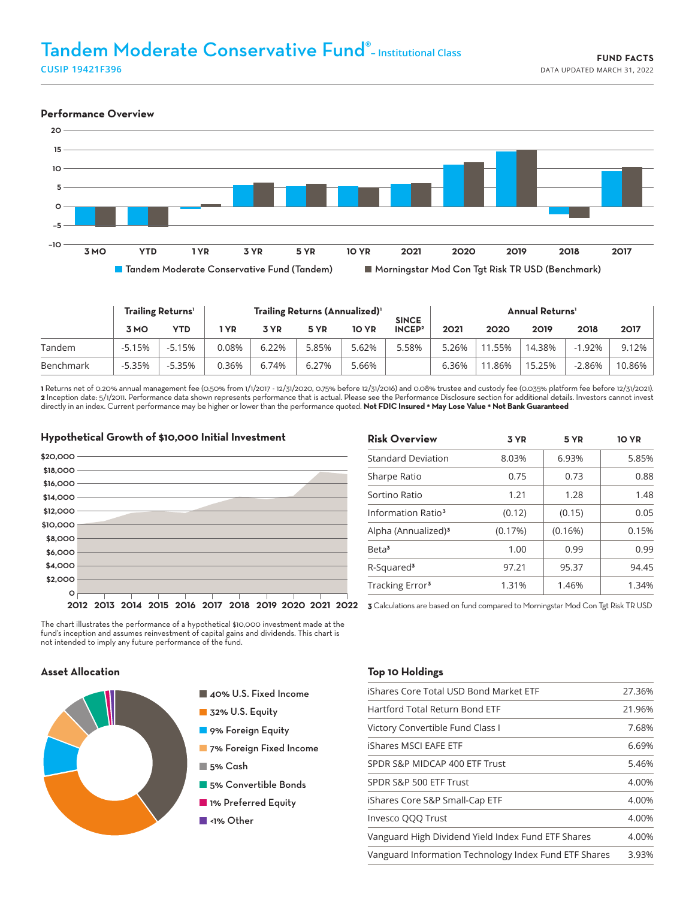# Tandem Moderate Conservative Fund® **– Institutional Class**

**CUSIP 19421F396**

#### **Performance Overview**



|           | Trailing Returns' |          | Trailing Returns (Annualized) <sup>1</sup> |       |       |              | <b>SINCE</b>       | <b>Annual Returns'</b> |         |        |           |        |
|-----------|-------------------|----------|--------------------------------------------|-------|-------|--------------|--------------------|------------------------|---------|--------|-----------|--------|
|           | 3 MO              | YTD      | <b>YR</b>                                  | 3 YR  | 5 YR  | <b>10 YR</b> | INCEP <sup>2</sup> | 2021                   | 2020    | 2019   | 2018      | 2017   |
| Tandem    | $-5.15%$          | $-5.15%$ | 0.08%                                      | 6.22% | 5.85% | 5.62%        | 5.58%              | 5.26%                  | 11.55%  | 14.38% | $-1.92%$  | 9.12%  |
| Benchmark | $-5.35%$          | $-5.35%$ | 0.36%                                      | 6.74% | 6.27% | 5.66%        |                    | 6.36%                  | ' 1.86% | 15.25% | $-2.86\%$ | 10.86% |

**1** Returns net of 0.20% annual management fee (0.50% from 1/1/2017 - 12/31/2020, 0.75% before 12/31/2016) and 0.08% trustee and custody fee (0.035% platform fee before 12/31/2021). **2** Inception date: 5/1/2011. Performance data shown represents performance that is actual. Please see the Performance Disclosure section for additional details. Investors cannot invest directly in an index. Current performance may be higher or lower than the performance quoted. **Not FDIC Insured \* May Lose Value \* Not Bank Guaranteed**

## **Hypothetical Growth of \$10,000 Initial Investment \$8,000 \$20,000 \$18,000 \$10,000 \$2,000 \$16,000 \$14,000 \$6,000 \$12,000 \$4,000**

| <b>Risk Overview</b>            | 3 YR    | 5 YR    | <b>10 YR</b> |
|---------------------------------|---------|---------|--------------|
| <b>Standard Deviation</b>       | 8.03%   | 6.93%   | 5.85%        |
| Sharpe Ratio                    | 0.75    | 0.73    | 0.88         |
| Sortino Ratio                   | 1.21    | 1.28    | 1.48         |
| Information Ratio <sup>3</sup>  | (0.12)  | (0.15)  | 0.05         |
| Alpha (Annualized) <sup>3</sup> | (0.17%) | (0.16%) | 0.15%        |
| Beta <sup>3</sup>               | 1.00    | 0.99    | 0.99         |
| R-Squared <sup>3</sup>          | 97.21   | 95.37   | 94.45        |
| Tracking Error <sup>3</sup>     | 1.31%   | 1.46%   | 1.34%        |

**2012 2013 2014 2015 2016 2017 2018 2019 2020 2021 2022 3** Calculations are based on fund compared to Morningstar Mod Con Tgt Risk TR USD

The chart illustrates the performance of a hypothetical \$10,000 investment made at the fund's inception and assumes reinvestment of capital gains and dividends. This chart is not intended to imply any future performance of the fund.

#### **Asset Allocation**

**0**



- 40% U.S. Fixed Income
- 32% U.S. Equity
- **9% Foreign Equity**
- **7% Foreign Fixed Income**
- 5% Cash
- **5% Convertible Bonds**
- 1% Preferred Equity
- ■<1% Other

#### **Top 10 Holdings**

| iShares Core Total USD Bond Market ETF                | 27.36% |
|-------------------------------------------------------|--------|
| Hartford Total Return Bond ETF                        | 21.96% |
| Victory Convertible Fund Class I                      | 7.68%  |
| iShares MSCI EAFE ETF                                 | 6.69%  |
| SPDR S&P MIDCAP 400 ETF Trust                         | 5.46%  |
| SPDR S&P 500 ETF Trust                                | 4.00%  |
| iShares Core S&P Small-Cap ETF                        | 4.00%  |
| Invesco QQQ Trust                                     | 4.00%  |
| Vanguard High Dividend Yield Index Fund ETF Shares    | 4.00%  |
| Vanguard Information Technology Index Fund ETF Shares | 3.93%  |